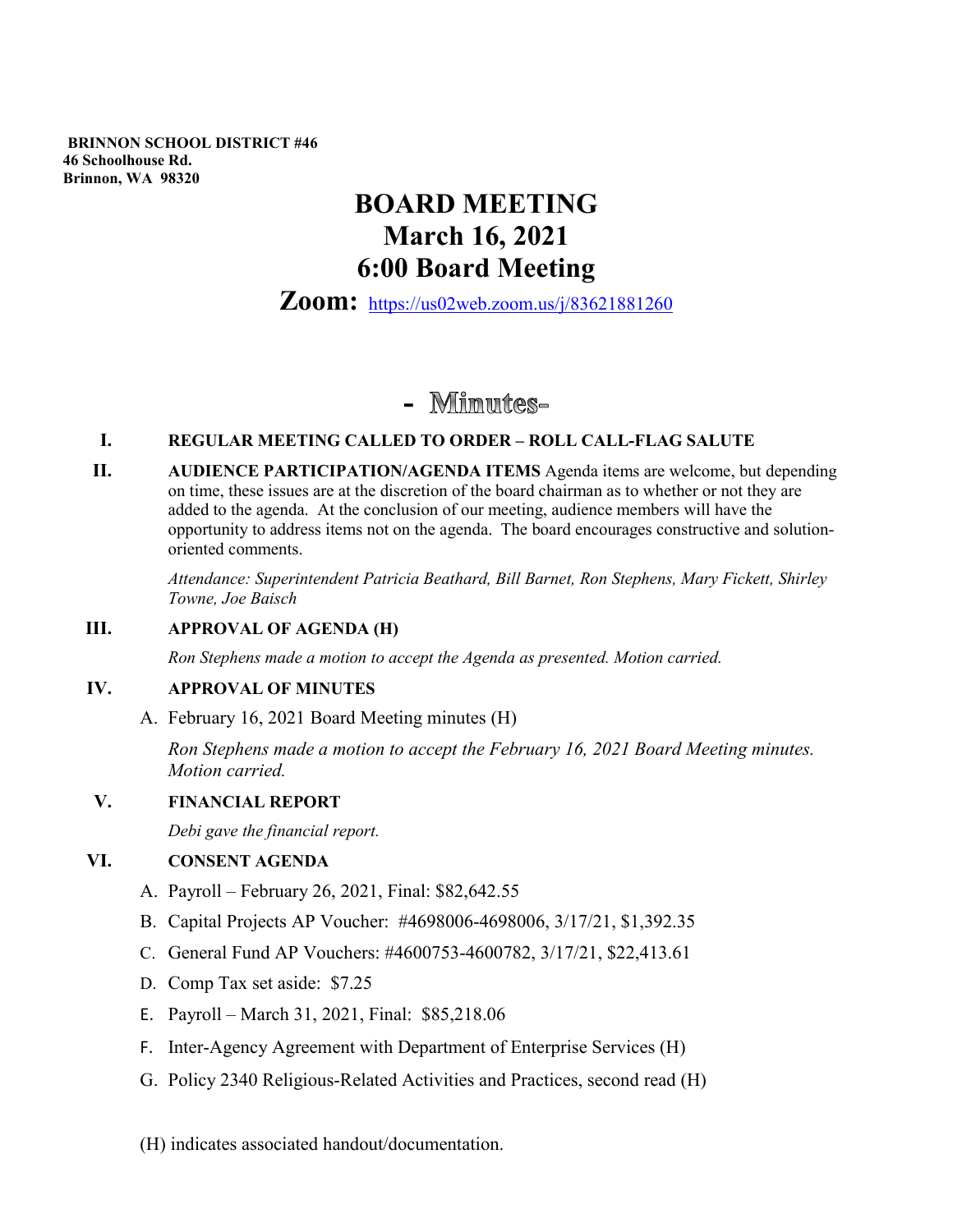**BRINNON SCHOOL DISTRICT #46 46 Schoolhouse Rd. Brinnon, WA 98320**

# **BOARD MEETING March 16, 2021 6:00 Board Meeting**

**Zoom:** <https://us02web.zoom.us/j/83621881260>

# - Minutes-

#### **I. REGULAR MEETING CALLED TO ORDER – ROLL CALL-FLAG SALUTE**

**II. AUDIENCE PARTICIPATION/AGENDA ITEMS** Agenda items are welcome, but depending on time, these issues are at the discretion of the board chairman as to whether or not they are added to the agenda. At the conclusion of our meeting, audience members will have the opportunity to address items not on the agenda. The board encourages constructive and solutionoriented comments.

> *Attendance: Superintendent Patricia Beathard, Bill Barnet, Ron Stephens, Mary Fickett, Shirley Towne, Joe Baisch*

### **III. APPROVAL OF AGENDA (H)**

*Ron Stephens made a motion to accept the Agenda as presented. Motion carried.*

#### **IV. APPROVAL OF MINUTES**

A. February 16, 2021 Board Meeting minutes (H)

*Ron Stephens made a motion to accept the February 16, 2021 Board Meeting minutes. Motion carried.* 

#### **V. FINANCIAL REPORT**

*Debi gave the financial report.*

#### **VI. CONSENT AGENDA**

- A. Payroll February 26, 2021, Final: \$82,642.55
- B. Capital Projects AP Voucher: #4698006-4698006, 3/17/21, \$1,392.35
- C. General Fund AP Vouchers: #4600753-4600782, 3/17/21, \$22,413.61
- D. Comp Tax set aside: \$7.25
- E. Payroll March 31, 2021, Final: \$85,218.06
- F. Inter-Agency Agreement with Department of Enterprise Services (H)
- G. Policy 2340 Religious-Related Activities and Practices, second read (H)
- (H) indicates associated handout/documentation.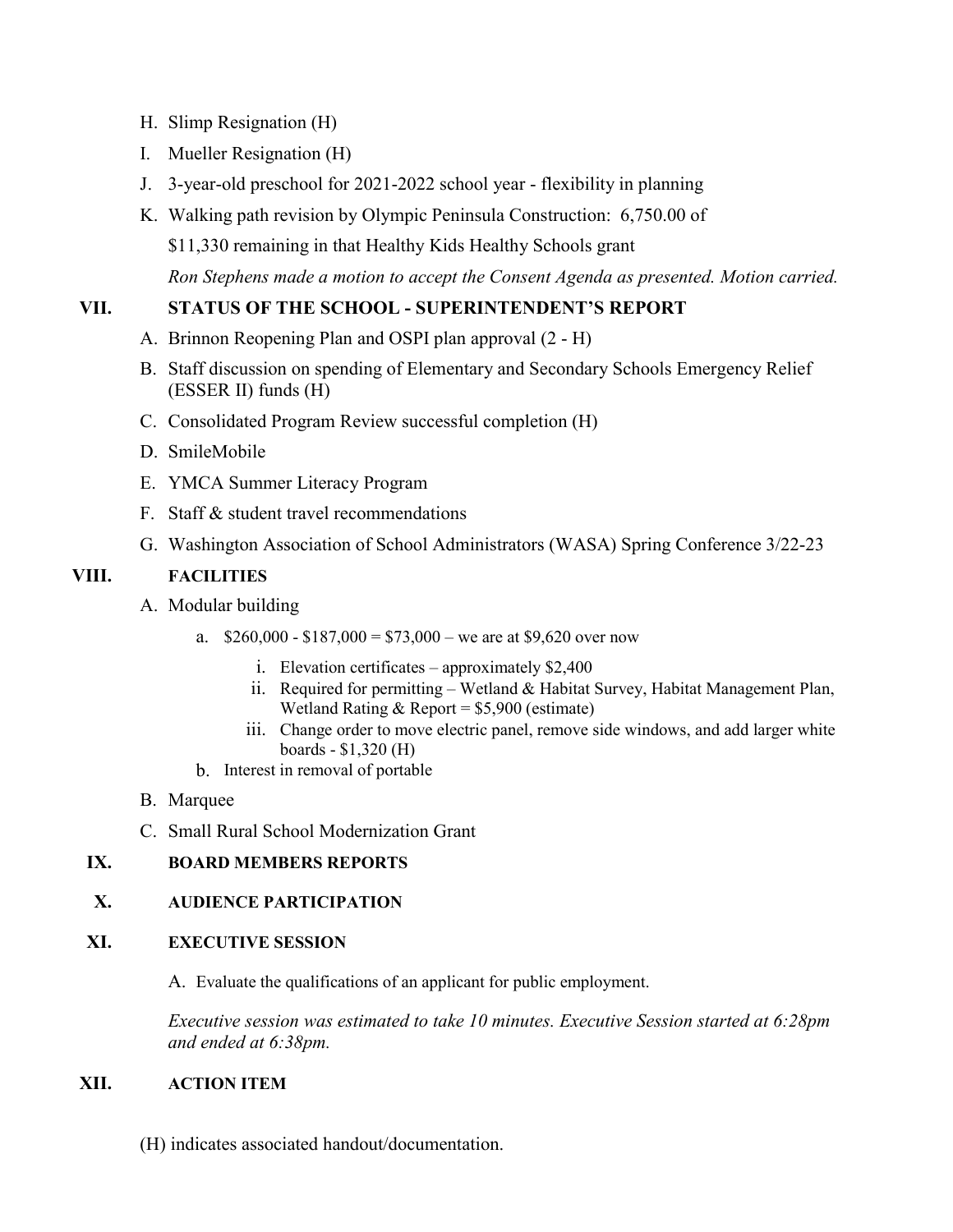- H. Slimp Resignation (H)
- I. Mueller Resignation (H)
- J. 3-year-old preschool for 2021-2022 school year flexibility in planning
- K. Walking path revision by Olympic Peninsula Construction: 6,750.00 of \$11,330 remaining in that Healthy Kids Healthy Schools grant *Ron Stephens made a motion to accept the Consent Agenda as presented. Motion carried.*

# **VII. STATUS OF THE SCHOOL - SUPERINTENDENT'S REPORT**

- A. Brinnon Reopening Plan and OSPI plan approval (2 H)
- B. Staff discussion on spending of Elementary and Secondary Schools Emergency Relief (ESSER II) funds (H)
- C. Consolidated Program Review successful completion (H)
- D. SmileMobile
- E. YMCA Summer Literacy Program
- F. Staff & student travel recommendations
- G. Washington Association of School Administrators (WASA) Spring Conference 3/22-23

## **VIII. FACILITIES**

- A. Modular building
	- a.  $$260,000 $187,000 = $73,000 -$  we are at \$9,620 over now
		- i. Elevation certificates approximately \$2,400
		- ii. Required for permitting Wetland & Habitat Survey, Habitat Management Plan, Wetland Rating  $&$  Report = \$5,900 (estimate)
		- iii. Change order to move electric panel, remove side windows, and add larger white boards - \$1,320 (H)
	- b. Interest in removal of portable
- B. Marquee
- C. Small Rural School Modernization Grant

# **IX. BOARD MEMBERS REPORTS**

# **X. AUDIENCE PARTICIPATION**

### **XI. EXECUTIVE SESSION**

A. Evaluate the qualifications of an applicant for public employment.

*Executive session was estimated to take 10 minutes. Executive Session started at 6:28pm and ended at 6:38pm.*

## **XII. ACTION ITEM**

(H) indicates associated handout/documentation.